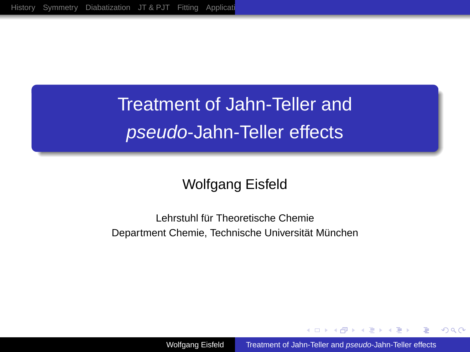# Treatment of Jahn-Teller and pseudo-Jahn-Teller effects

## Wolfgang Eisfeld

#### Lehrstuhl für Theoretische Chemie Department Chemie, Technische Universität München

Wolfgang Eisfeld [Treatment of Jahn-Teller and](#page-38-0) pseudo-Jahn-Teller effects

イロメ イ何 メイヨメ イヨメ

 $2Q$ 

<span id="page-0-0"></span>э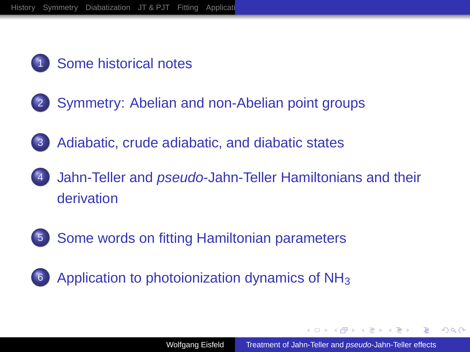

## [Some historical notes](#page-2-0)

- 2 [Symmetry: Abelian and non-Abelian point groups](#page-5-0)
- 3 [Adiabatic, crude adiabatic, and diabatic states](#page-8-0)
- Jahn-Teller and *pseudo*[-Jahn-Teller Hamiltonians and their](#page-11-0) [derivation](#page-11-0)
- 
- 5 [Some words on fitting Hamiltonian parameters](#page-26-0)



**K 御 ▶ ★ ヨ ▶ ★ ヨ**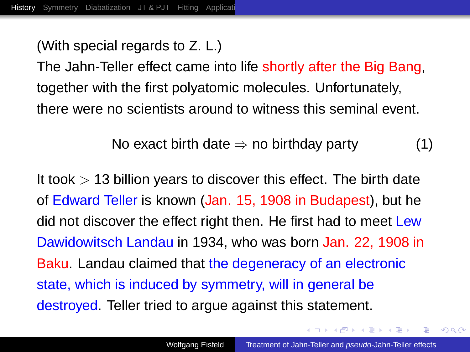(With special regards to Z. L.)

The Jahn-Teller effect came into life shortly after the Big Bang, together with the first polyatomic molecules. Unfortunately, there were no scientists around to witness this seminal event.

No exact birth date  $\Rightarrow$  no birthday party (1)

It took  $> 13$  billion years to discover this effect. The birth date of Edward Teller is known (Jan. 15, 1908 in Budapest), but he did not discover the effect right then. He first had to meet Lew Dawidowitsch Landau in 1934, who was born Jan. 22, 1908 in Baku. Landau claimed that the degeneracy of an electronic state, which is induced by symmetry, will in general be destroyed. Teller tried to argue against this statement.

<span id="page-2-0"></span> $\sqrt{m}$   $\rightarrow$   $\sqrt{m}$   $\rightarrow$   $\sqrt{m}$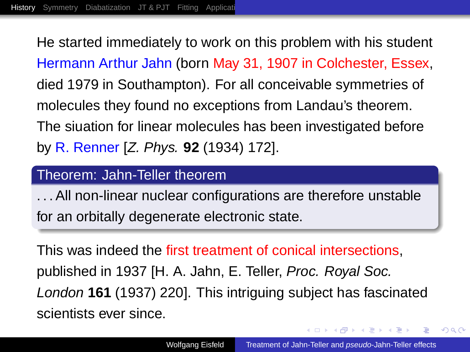He started immediately to work on this problem with his student Hermann Arthur Jahn (born May 31, 1907 in Colchester, Essex, died 1979 in Southampton). For all conceivable symmetries of molecules they found no exceptions from Landau's theorem. The siuation for linear molecules has been investigated before by R. Renner [Z. Phys. **92** (1934) 172].

#### Theorem: Jahn-Teller theorem

. . . All non-linear nuclear configurations are therefore unstable for an orbitally degenerate electronic state.

This was indeed the first treatment of conical intersections, published in 1937 [H. A. Jahn, E. Teller, Proc. Royal Soc. London **161** (1937) 220]. This intriguing subject has fascinated scientists ever since.

K ロ ⊁ K 何 ≯ K ヨ ⊁ K ヨ ⊁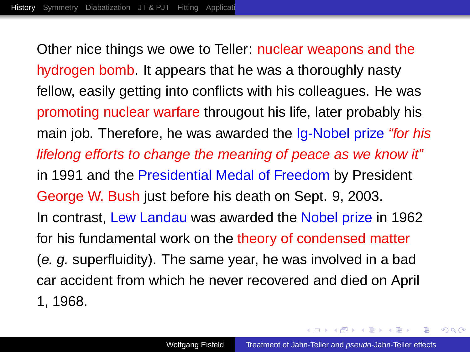Other nice things we owe to Teller: nuclear weapons and the hydrogen bomb. It appears that he was a thoroughly nasty fellow, easily getting into conflicts with his colleagues. He was promoting nuclear warfare througout his life, later probably his main job. Therefore, he was awarded the Ig-Nobel prize "for his lifelong efforts to change the meaning of peace as we know it" in 1991 and the Presidential Medal of Freedom by President George W. Bush just before his death on Sept. 9, 2003. In contrast, Lew Landau was awarded the Nobel prize in 1962 for his fundamental work on the theory of condensed matter (e. g. superfluidity). The same year, he was involved in a bad car accident from which he never recovered and died on April 1, 1968.

<span id="page-4-0"></span>K ロ ⊁ K 何 ≯ K ヨ ⊁ K ヨ ⊁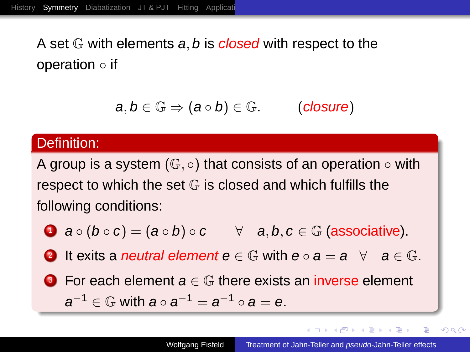A set  $\mathbb G$  with elements a, b is closed with respect to the operation ◦ if

$$
a,b\in\mathbb{G}\Rightarrow (a\circ b)\in\mathbb{G}.\qquad\quad \text{(closure)}
$$

#### Definition:

A group is a system  $(\mathbb{G}, \circ)$  that consists of an operation  $\circ$  with respect to which the set  $G$  is closed and which fulfills the following conditions:

- **1**  $a \circ (b \circ c) = (a \circ b) \circ c$   $\forall$   $a, b, c \in \mathbb{G}$  (associative).
- **2** It exits a *neutral element*  $e \in \mathbb{G}$  with  $e \circ a = a \quad \forall a \in \mathbb{G}$ .
- **3** For each element  $a \in \mathbb{G}$  there exists an inverse element  $a^{-1} \in \mathbb{G}$  with  $a \circ a^{-1} = a^{-1} \circ a = e$ .

イロメ イ押 メイヨメ イヨメ

 $2990$ 

<span id="page-5-0"></span>÷.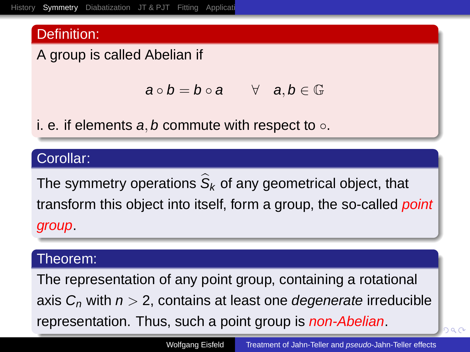#### Definition:

A group is called Abelian if

<span id="page-6-0"></span>
$$
a\circ b=b\circ a\qquad\forall\quad a,b\in\mathbb{G}
$$

i. e. if elements a, b commute with respect to  $\circ$ .

#### Corollar:

The symmetry operations  $\mathcal{S}_k$  of any geometrical object, that transform this object into itself, form a group, the so-called *point* group.

#### Theorem:

The representation of any point group, containing a rotational axis  $C_n$  with  $n > 2$ , contains at least one *degenerate* irreducible represe[n](#page-8-0)tati[on](#page-7-0). Thus, such a po[i](#page-5-0)nt group is *non[-](#page-5-0)[Ab](#page-6-0)[el](#page-4-0)i[a](#page-7-0)n*[.](#page-4-0)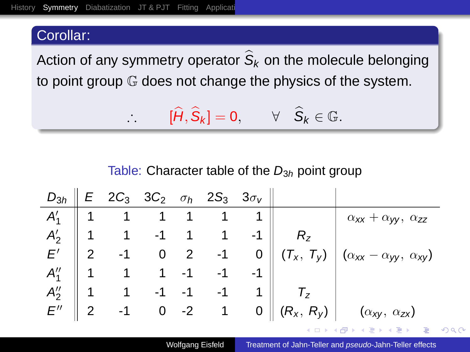#### Corollar:

Action of any symmetry operator  $\mathcal{S}_k$  on the molecule belonging to point group G does not change the physics of the system.

$$
\therefore [\widehat{H}, \widehat{S}_k] = 0, \qquad \forall \quad \widehat{S}_k \in \mathbb{G}.
$$

#### <span id="page-7-0"></span>Table: Character table of the  $D_{3h}$  point group

|           |  |  | $D_{3h}$ $E$ 2C <sub>3</sub> 3C <sub>2</sub> $\sigma_h$ 2S <sub>3</sub> 3 $\sigma_V$ $\parallel$ |                                                                                                                                                                                                                                                                                                                                                                                                                                                                                                               |
|-----------|--|--|--------------------------------------------------------------------------------------------------|---------------------------------------------------------------------------------------------------------------------------------------------------------------------------------------------------------------------------------------------------------------------------------------------------------------------------------------------------------------------------------------------------------------------------------------------------------------------------------------------------------------|
|           |  |  |                                                                                                  |                                                                                                                                                                                                                                                                                                                                                                                                                                                                                                               |
|           |  |  |                                                                                                  |                                                                                                                                                                                                                                                                                                                                                                                                                                                                                                               |
|           |  |  |                                                                                                  | $\begin{array}{c cccc c} A'_1 & 1 & 1 & 1 & 1 & 1 \\ A'_2 & 1 & 1 & -1 & 1 & 1 & -1 \\ E' & 2 & -1 & 0 & 2 & -1 & 0 \\ \end{array} \quad \begin{array}{c cccc c} & & & & & \alpha_{xx} + \alpha_{yy} & \alpha_{zz} \\ R_z & & & & & \alpha_{xx} + \alpha_{yy} & \alpha_{zz} \\ (T_x, T_y) & (\alpha_{xx} - \alpha_{yy} & \alpha_{xy}) & \alpha_{zz} & (T_x, T_y) \\ \end{array}$<br>$\overline{F'}$ 2 -1 0 2 -1 0 $(T_x, T_y)$ $(\alpha_{xx} - \alpha_{yy}, \alpha_{xy})$<br>$A''_1$ 1 1 1 -1 -1 -1 1 1 $T_z$ |
|           |  |  |                                                                                                  |                                                                                                                                                                                                                                                                                                                                                                                                                                                                                                               |
|           |  |  |                                                                                                  |                                                                                                                                                                                                                                                                                                                                                                                                                                                                                                               |
| $E''$   2 |  |  |                                                                                                  | -1 0 -2 1 0 $ (R_x, R_y) $ $(\alpha_{xy}, \alpha_{zx})$                                                                                                                                                                                                                                                                                                                                                                                                                                                       |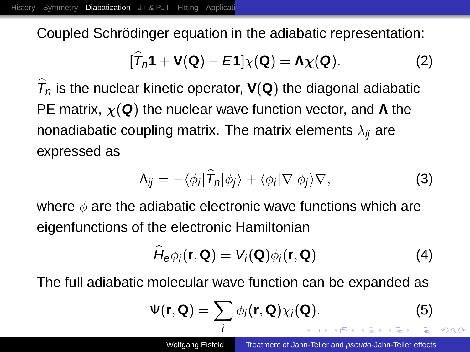Coupled Schrödinger equation in the adiabatic representation:

<span id="page-8-1"></span>
$$
[\widehat{T}_n\mathbf{1} + \mathbf{V}(\mathbf{Q}) - E\mathbf{1}] \chi(\mathbf{Q}) = \mathbf{\Lambda} \chi(\mathbf{Q}).
$$
 (2)

 $T_n$  is the nuclear kinetic operator,  $V(Q)$  the diagonal adiabatic PE matrix, χ(**Q**) the nuclear wave function vector, and Λ the nonadiabatic coupling matrix. The matrix elements  $\lambda_{ii}$  are expressed as

$$
\Lambda_{ij} = -\langle \phi_i | \widehat{T}_n | \phi_j \rangle + \langle \phi_i | \nabla | \phi_j \rangle \nabla, \tag{3}
$$

where  $\phi$  are the adiabatic electronic wave functions which are eigenfunctions of the electronic Hamiltonian

$$
\widehat{H}_{e}\phi_{i}(\mathbf{r},\mathbf{Q})=V_{i}(\mathbf{Q})\phi_{i}(\mathbf{r},\mathbf{Q})
$$
\n(4)

The full adiabatic molecular wave function can be expanded as

<span id="page-8-0"></span>
$$
\Psi(\mathbf{r}, \mathbf{Q}) = \sum_{i} \phi_{i}(\mathbf{r}, \mathbf{Q}) \chi_{i}(\mathbf{Q}).
$$
\nNotgang Eisted

\nTreatment of Jahn-Teller and *pseudo*-Jahn-Teller effects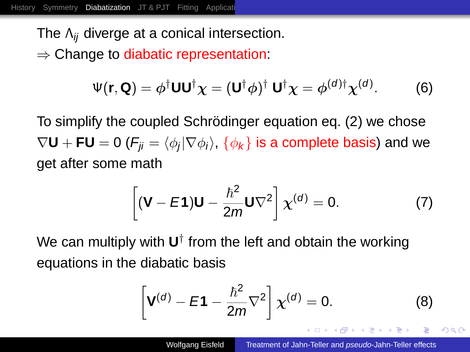The  $\Lambda_{ii}$  diverge at a conical intersection.  $\Rightarrow$  Change to diabatic representation:

$$
\Psi(\mathbf{r}, \mathbf{Q}) = \phi^{\dagger} \mathbf{U} \mathbf{U}^{\dagger} \boldsymbol{\chi} = (\mathbf{U}^{\dagger} \phi)^{\dagger} \mathbf{U}^{\dagger} \boldsymbol{\chi} = \phi^{(d)\dagger} \boldsymbol{\chi}^{(d)}.
$$
 (6)

To simplify the coupled Schrödinger equation eq. [\(2\)](#page-8-1) we chose  $\nabla\textbf{U} + \textbf{FU} = 0$  ( $\textit{F}_{ji} = \langle \phi_j | \nabla \phi_i \rangle$ ,  $\{\phi_{\pmb{k}}\}$  is a complete basis) and we get after some math

$$
\left[ (\mathbf{V} - \mathbf{E} \mathbf{1}) \mathbf{U} - \frac{\hbar^2}{2m} \mathbf{U} \nabla^2 \right] \chi^{(d)} = 0. \tag{7}
$$

We can multiply with **U**<sup>†</sup> from the left and obtain the working equations in the diabatic basis

$$
\left[\mathbf{V}^{(d)} - \mathbf{E}\mathbf{1} - \frac{\hbar^2}{2m}\nabla^2\right] \chi^{(d)} = 0.
$$
 (8)

K ロ ⊁ K 何 ≯ K ヨ ⊁ K ヨ ⊁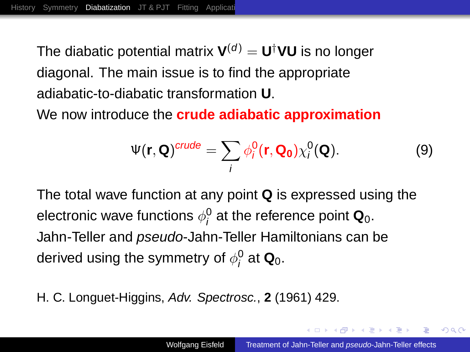The diabatic potential matrix  $\mathbf{V}^{(d)} = \mathbf{U}^\dagger \mathbf{V} \mathbf{U}$  is no longer diagonal. The main issue is to find the appropriate adiabatic-to-diabatic transformation **U**.

We now introduce the **crude adiabatic approximation**

$$
\Psi(\mathbf{r}, \mathbf{Q})^{crude} = \sum_{i} \phi_i^0(\mathbf{r}, \mathbf{Q_0}) \chi_i^0(\mathbf{Q}). \tag{9}
$$

The total wave function at any point **Q** is expressed using the electronic wave functions  $\phi^0_i$  at the reference point  $\mathbf{Q}_0.$ Jahn-Teller and *pseudo*-Jahn-Teller Hamiltonians can be derived using the symmetry of  $\phi^0_i$  at  $\mathbf{Q}_0.$ 

H. C. Longuet-Higgins, Adv. Spectrosc., **2** (1961) 429.

 $\left\{\frac{\partial \mathbf{p}}{\partial t} \right\}$   $\left\{\frac{\partial \mathbf{p}}{\partial t} \right\}$   $\left\{\frac{\partial \mathbf{p}}{\partial t} \right\}$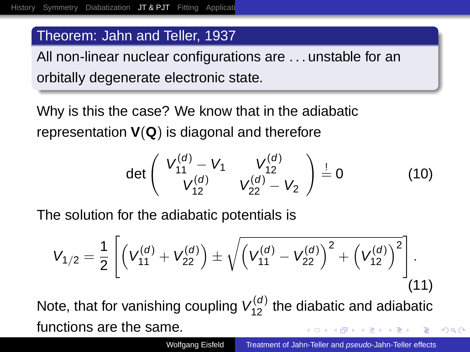#### Theorem: Jahn and Teller, 1937

All non-linear nuclear configurations are . . . unstable for an orbitally degenerate electronic state.

Why is this the case? We know that in the adiabatic representation **V**(**Q**) is diagonal and therefore

<span id="page-11-0"></span>
$$
\det\left(\begin{array}{cc} V_{11}^{(d)} - V_1 & V_{12}^{(d)} \\ V_{12}^{(d)} & V_{22}^{(d)} - V_2 \end{array}\right) \stackrel{!}{=} 0 \tag{10}
$$

The solution for the adiabatic potentials is

$$
V_{1/2} = \frac{1}{2} \left[ \left( V_{11}^{(d)} + V_{22}^{(d)} \right) \pm \sqrt{\left( V_{11}^{(d)} - V_{22}^{(d)} \right)^2 + \left( V_{12}^{(d)} \right)^2} \right].
$$
\n(11)

Note, that for vanishing coupling  $V_{12}^{(d)}$  the diabatic and adiabatic functions are the same.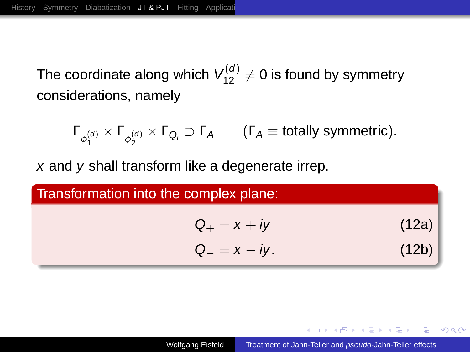The coordinate along which  $\mathcal{V}^{(d)}_{12}\neq 0$  is found by symmetry considerations, namely

 $\Gamma_{\phi_1^{(d)}} \times \Gamma_{\phi_2^{(d)}} \times \Gamma_{\mathsf{Q}_i} \supset \Gamma_{\mathsf{A}} \qquad (\Gamma_{\mathsf{A}} \equiv \text{totally symmetric}).$ 

x and y shall transform like a degenerate irrep.

<span id="page-12-0"></span>Transformation into the complex plane:  $Q_+ = x + iy$  (12a)  $Q_{-} = x - iy.$  (12b)

**◆ロ→ ◆伊→ ◆ミ→ →ミ→ → ミ** 

 $QQ$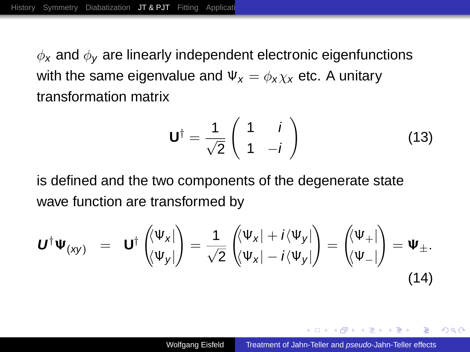$\phi_x$  and  $\phi_y$  are linearly independent electronic eigenfunctions with the same eigenvalue and  $\Psi_x = \phi_x \chi_x$  etc. A unitary transformation matrix

$$
\mathbf{U}^{\dagger} = \frac{1}{\sqrt{2}} \begin{pmatrix} 1 & i \\ 1 & -i \end{pmatrix}
$$
 (13)

is defined and the two components of the degenerate state wave function are transformed by

$$
\boldsymbol{U}^{\dagger}\boldsymbol{\Psi}_{(\mathsf{x}\mathsf{y})} = \boldsymbol{U}^{\dagger}\begin{pmatrix} \langle \boldsymbol{\Psi}_{\mathsf{x}} | \\ \langle \boldsymbol{\Psi}_{\mathsf{y}} | \end{pmatrix} = \frac{1}{\sqrt{2}}\begin{pmatrix} \langle \boldsymbol{\Psi}_{\mathsf{x}} | + i \langle \boldsymbol{\Psi}_{\mathsf{y}} | \\ \langle \boldsymbol{\Psi}_{\mathsf{x}} | - i \langle \boldsymbol{\Psi}_{\mathsf{y}} | \end{pmatrix} = \begin{pmatrix} \langle \boldsymbol{\Psi}_{+} | \\ \langle \boldsymbol{\Psi}_{-} | \end{pmatrix} = \boldsymbol{\Psi}_{\pm}.
$$
\n(14)

メ 倒 ト メ ヨ ト メ ヨ ト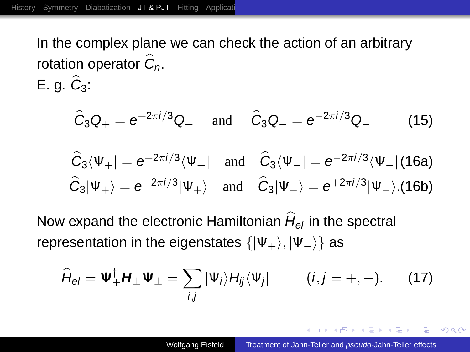In the complex plane we can check the action of an arbitrary rotation operator  $C_n$ . E.g.  $C_3$ :

$$
\hat{C}_3 Q_+ = e^{+2\pi i/3} Q_+
$$
 and  $\hat{C}_3 Q_- = e^{-2\pi i/3} Q_-$  (15)

$$
\begin{aligned}\n\widehat{C}_3 \langle \Psi_+| &= e^{+2\pi i/3} \langle \Psi_+| \quad \text{and} \quad \widehat{C}_3 \langle \Psi_-| = e^{-2\pi i/3} \langle \Psi_-| \text{ (16a)} \\
\widehat{C}_3 | \Psi_+ \rangle &= e^{-2\pi i/3} | \Psi_+ \rangle \quad \text{and} \quad \widehat{C}_3 | \Psi_- \rangle = e^{+2\pi i/3} | \Psi_- \rangle. \text{(16b)}\n\end{aligned}
$$

Now expand the electronic Hamiltonian  $H_{\mathrm{e} \mathrm{\scriptscriptstyle I}}$  in the spectral representation in the eigenstates  $\{|\Psi_+\rangle, |\Psi_-\rangle\}$  as

<span id="page-14-0"></span>
$$
\widehat{H}_{el} = \Psi_{\pm}^{\dagger} H_{\pm} \Psi_{\pm} = \sum_{i,j} |\Psi_i\rangle H_{ij} \langle \Psi_j| \qquad (i,j = +, -). \qquad (17)
$$

K 何 ▶ K ヨ ▶ K ヨ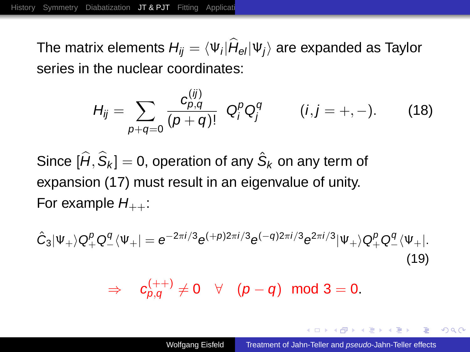The matrix elements  $H_{ij} = \langle \Psi_i|H_{\mathsf{e} \mathsf{I}} |\Psi_j \rangle$  are expanded as Taylor series in the nuclear coordinates:

$$
H_{ij} = \sum_{p+q=0} \frac{c_{p,q}^{(ij)}}{(p+q)!} \ Q_i^p Q_j^q \qquad (i,j = +, -). \qquad (18)
$$

Since  $[\widehat{H},\widehat{\mathsf{S}}_k]=0$ , operation of any  $\hat{\mathsf{S}}_k$  on any term of expansion [\(17\)](#page-14-0) must result in an eigenvalue of unity. For example  $H_{++}$ :

$$
\hat{C}_3|\Psi_+\rangle Q_+^p Q_-^q \langle \Psi_+| = e^{-2\pi i/3} e^{(+p)2\pi i/3} e^{(-q)2\pi i/3} e^{2\pi i/3} |\Psi_+\rangle Q_+^p Q_-^q \langle \Psi_+|.\tag{19}
$$

 $\Rightarrow \quad c_{\rho,q}^{(++)} \neq 0 \quad \forall \quad ( \rho - q) \; \; {\rm mod} \; 3 = 0.$ 

**K ロ ▶ K 何 ▶ K ヨ ▶ K ヨ ▶**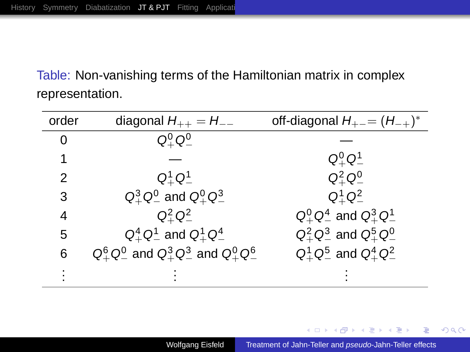Table: Non-vanishing terms of the Hamiltonian matrix in complex representation.

| order | diagonal $H_{++} = H_{--}$                                                | off-diagonal $H_{+-} = (H_{-+})^*$ |
|-------|---------------------------------------------------------------------------|------------------------------------|
| 0     | $\mathsf{Q}^0_\perp\,\mathsf{Q}^0_\perp$                                  |                                    |
|       |                                                                           | $Q^0_\perp$ $Q^1_\perp$            |
| 2     | $Q_{+}^{1} Q_{-}^{1}$                                                     | $Q_{+}^{2} Q_{-}^{0}$              |
| 3     | $Q_+^3 Q_-^0$ and $Q_+^0 Q_-^3$                                           | $Q_{+}^{1} Q_{-}^{2}$              |
| 4     | $Q^2$ <sub>+</sub> $Q^2$ <sub>+</sub>                                     | $Q^0_+ Q^4_-$ and $Q^3_+ Q^1_-$    |
| 5     | $Q_+^4 Q_-^1$ and $Q_+^1 Q_-^4$                                           | $Q_+^2 Q_-^3$ and $Q_+^5 Q_-^0$    |
| 6     | $Q_{+}^{6} Q_{-}^{0}$ and $Q_{+}^{3} Q_{-}^{3}$ and $Q_{+}^{0} Q_{-}^{6}$ | $Q_+^1 Q_-^5$ and $Q_+^4 Q_-^2$    |
|       |                                                                           |                                    |

メロメメ 倒 メメ ミメメ ミメ

÷.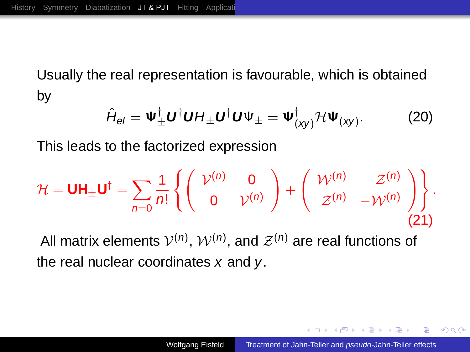Usually the real representation is favourable, which is obtained by

$$
\hat{H}_{el} = \Psi_{\pm}^{\dagger} \boldsymbol{U}^{\dagger} \boldsymbol{U} \boldsymbol{H}_{\pm} \boldsymbol{U}^{\dagger} \boldsymbol{U} \Psi_{\pm} = \Psi_{(xy)}^{\dagger} \mathcal{H} \Psi_{(xy)}.
$$
 (20)

This leads to the factorized expression

$$
\mathcal{H} = \mathbf{U}\mathbf{H}_{\pm}\mathbf{U}^{\dagger} = \sum_{n=0}^{n} \frac{1}{n!} \left\{ \begin{pmatrix} \mathcal{V}^{(n)} & 0 \\ 0 & \mathcal{V}^{(n)} \end{pmatrix} + \begin{pmatrix} \mathcal{W}^{(n)} & \mathcal{Z}^{(n)} \\ \mathcal{Z}^{(n)} & -\mathcal{W}^{(n)} \end{pmatrix} \right\}.
$$
\n(21)

All matrix elements  $\mathcal{V}^{(n)},$   $\mathcal{W}^{(n)},$  and  $\mathcal{Z}^{(n)}$  are real functions of the real nuclear coordinates  $x$  and  $y$ .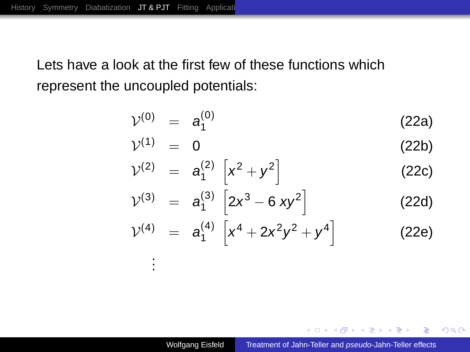. . .

Lets have a look at the first few of these functions which represent the uncoupled potentials:

$$
\mathcal{V}^{(0)} = a_1^{(0)} \tag{22a}
$$

$$
\mathcal{V}^{(1)} = 0 \tag{22b}
$$

$$
\mathcal{V}^{(2)} = a_1^{(2)} \left[ x^2 + y^2 \right] \tag{22c}
$$

$$
\mathcal{V}^{(3)} = a_1^{(3)} \left[ 2x^3 - 6 \, xy^2 \right] \tag{22d}
$$

$$
\mathcal{V}^{(4)} = a_1^{(4)} \left[ x^4 + 2x^2y^2 + y^4 \right]
$$
 (22e)

 $\left\{ \begin{array}{ccc} 1 & 0 & 0 \\ 0 & 1 & 0 \end{array} \right.$ 

÷.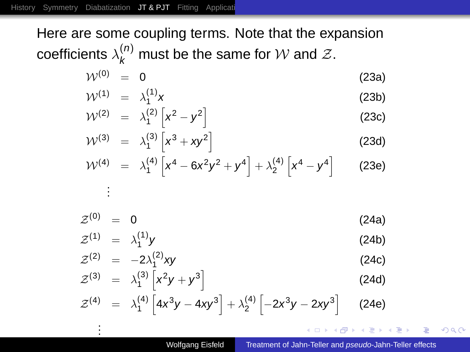. .

. .

Here are some coupling terms. Note that the expansion coefficients  $\lambda_k^{(n)}$  must be the same for  ${\cal W}$  and  ${\cal Z}.$ 

$$
\mathcal{W}^{(0)} = 0 \tag{23a}
$$

$$
\mathcal{W}^{(1)} = \lambda_1^{(1)} \mathbf{x} \tag{23b}
$$

$$
\mathcal{W}^{(2)} = \lambda_1^{(2)} \left[ \mathbf{x}^2 - \mathbf{y}^2 \right] \tag{23c}
$$

$$
\mathcal{W}^{(3)} = \lambda_1^{(3)} \left[ x^3 + xy^2 \right] \tag{23d}
$$

$$
\mathcal{W}^{(4)} = \lambda_1^{(4)} \left[ x^4 - 6x^2 y^2 + y^4 \right] + \lambda_2^{(4)} \left[ x^4 - y^4 \right] \tag{23e}
$$

$$
\mathcal{Z}^{(0)} = 0 \tag{24a}
$$

$$
\mathcal{Z}^{(1)} = \lambda_1^{(1)} \mathbf{y} \tag{24b}
$$

$$
\mathcal{Z}^{(2)} = -2\lambda_1^{(2)}xy \tag{24c}
$$

$$
\mathcal{Z}^{(3)} = \lambda_1^{(3)} \left[ x^2 y + y^3 \right] \tag{24d}
$$

$$
\mathcal{Z}^{(4)} = \lambda_1^{(4)} \left[ 4x^3 y - 4xy^3 \right] + \lambda_2^{(4)} \left[ -2x^3 y - 2xy^3 \right] \tag{24e}
$$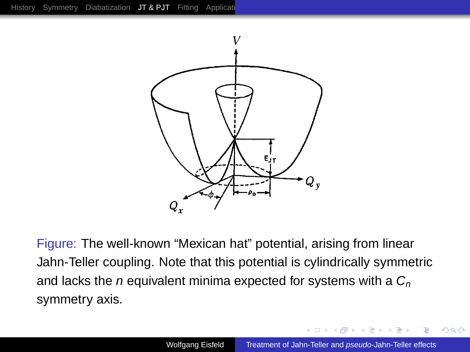

Figure: The well-known "Mexican hat" potential, arising from linear Jahn-Teller coupling. Note that this potential is cylindrically symmetric and lacks the *n* equivalent minima expected for systems with a  $C_n$ symmetry axis.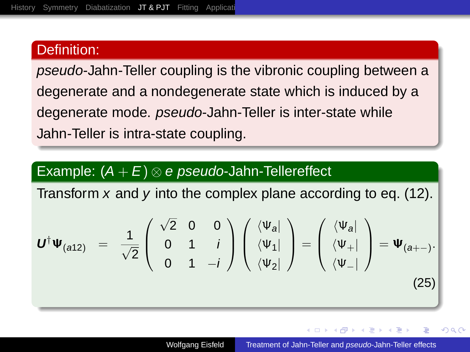#### Definition:

pseudo-Jahn-Teller coupling is the vibronic coupling between a degenerate and a nondegenerate state which is induced by a degenerate mode. pseudo-Jahn-Teller is inter-state while Jahn-Teller is intra-state coupling.

#### Example:  $(A + E) \otimes e$  pseudo-Jahn-Tellereffect

Transform  $x$  and  $y$  into the complex plane according to eq. [\(12\)](#page-12-0).

$$
\boldsymbol{U}^{\dagger}\boldsymbol{\Psi}_{(a12)} = \frac{1}{\sqrt{2}}\begin{pmatrix} \sqrt{2} & 0 & 0 \\ 0 & 1 & i \\ 0 & 1 & -i \end{pmatrix}\begin{pmatrix} \langle \Psi_a | \\ \langle \Psi_1 | \\ \langle \Psi_2 | \end{pmatrix} = \begin{pmatrix} \langle \Psi_a | \\ \langle \Psi_+ | \\ \langle \Psi_- | \end{pmatrix} = \boldsymbol{\Psi}_{(a+-)}.
$$
\n(25)

 $\Omega$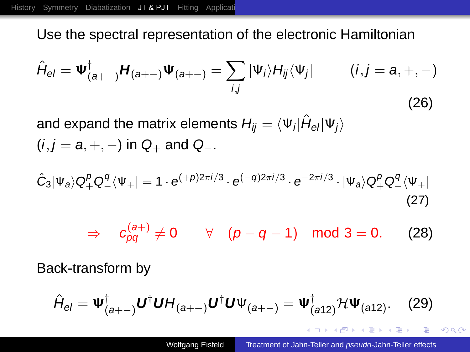Use the spectral representation of the electronic Hamiltonian

$$
\hat{H}_{el} = \Psi^{\dagger}_{(a+-)} H_{(a+-)} \Psi_{(a+-)} = \sum_{i,j} |\Psi_i\rangle H_{ij} \langle \Psi_j| \qquad (i,j = a,+,-)
$$
\n(26)

and expand the matrix elements  $H_{ij} = \langle \Psi_i | \hat{H}_{\textrm{el}} | \Psi_j \rangle$  $(i, j = a, +, -)$  in  $Q_+$  and  $Q_-$ .

$$
\hat{C}_3|\Psi_a\rangle Q^p_+Q^q_-\langle\Psi_+|=1 \cdot e^{(+\rho)2\pi i/3} \cdot e^{(-q)2\pi i/3} \cdot e^{-2\pi i/3} \cdot |\Psi_a\rangle Q^p_+Q^q_-\langle\Psi_+|\tag{27}
$$

$$
\Rightarrow c_{pq}^{(a+)} \neq 0 \qquad \forall \quad (p-q-1) \mod 3 = 0. \tag{28}
$$

Back-transform by

$$
\hat{H}_{el} = \Psi_{(a+-)}^{\dagger} \boldsymbol{U}^{\dagger} \boldsymbol{U} H_{(a+-)} \boldsymbol{U}^{\dagger} \boldsymbol{U} \Psi_{(a+-)} = \Psi_{(a12)}^{\dagger} \mathcal{H} \Psi_{(a12)}.
$$
 (29)

K ロ ⊁ K 何 ≯ K ヨ ⊁ K ヨ ⊁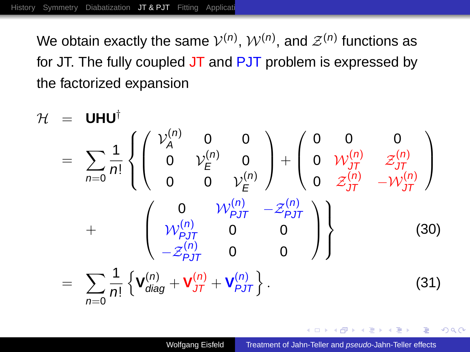We obtain exactly the same  $\mathcal{V}^{(n)},$   $\mathcal{W}^{(n)},$  and  $\mathcal{Z}^{(n)}$  functions as for JT. The fully coupled JT and PJT problem is expressed by the factorized expansion



ă,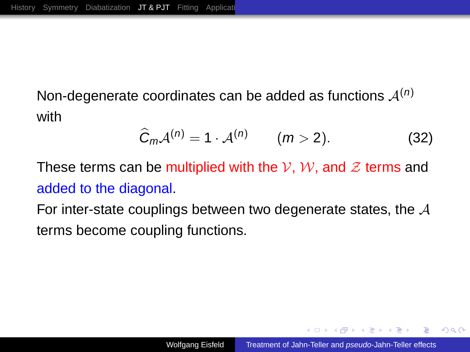Non-degenerate coordinates can be added as functions  $A^{(n)}$ with

$$
\widehat{C}_m \mathcal{A}^{(n)} = 1 \cdot \mathcal{A}^{(n)} \qquad (m > 2). \tag{32}
$$

These terms can be multiplied with the V, W, and  $\mathcal Z$  terms and added to the diagonal.

For inter-state couplings between two degenerate states, the  $A$ terms become coupling functions.

K 御 ▶ K ヨ ▶ K ヨ ▶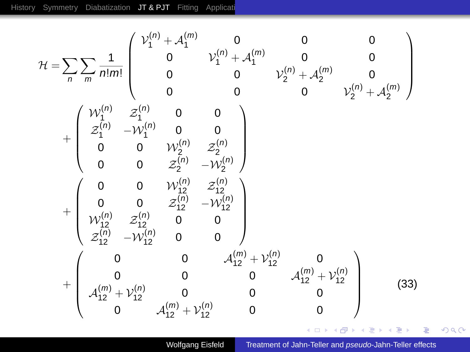$$
\mathcal{H} = \sum_{n} \sum_{m} \frac{1}{n!m!} \begin{pmatrix} \mathcal{V}_{1}^{(n)} + \mathcal{A}_{1}^{(m)} & 0 & 0 & 0 \\ 0 & \mathcal{V}_{1}^{(n)} + \mathcal{A}_{1}^{(m)} & 0 & 0 \\ 0 & 0 & \mathcal{V}_{2}^{(n)} + \mathcal{A}_{2}^{(m)} & 0 \\ 0 & 0 & 0 & \mathcal{V}_{2}^{(n)} + \mathcal{A}_{2}^{(m)} \end{pmatrix} + \begin{pmatrix} \mathcal{W}_{1}^{(n)} & \mathcal{Z}_{1}^{(n)} & 0 & 0 \\ \mathcal{Z}_{1}^{(n)} & -\mathcal{W}_{1}^{(n)} & 0 & 0 & 0 \\ 0 & 0 & \mathcal{W}_{2}^{(n)} & \mathcal{Z}_{2}^{(n)} \\ 0 & 0 & \mathcal{Z}_{2}^{(n)} & -\mathcal{W}_{2}^{(n)} \end{pmatrix} + \begin{pmatrix} 0 & 0 & \mathcal{W}_{1}^{(n)} & \mathcal{Z}_{1}^{(n)} \\ 0 & 0 & \mathcal{Z}_{1}^{(n)} & -\mathcal{W}_{2}^{(n)} \\ \mathcal{W}_{12}^{(n)} & \mathcal{Z}_{12}^{(n)} & 0 & 0 \\ \mathcal{Z}_{12}^{(n)} & -\mathcal{W}_{12}^{(n)} & 0 & 0 \\ \mathcal{Z}_{12}^{(n)} & -\mathcal{W}_{12}^{(n)} & 0 & 0 & \mathcal{A}_{12}^{(m)} + \mathcal{V}_{12}^{(n)} \\ 0 & 0 & 0 & \mathcal{A}_{12}^{(m)} + \mathcal{V}_{12}^{(n)} & 0 \\ \mathcal{A}_{12}^{(m)} + \mathcal{V}_{12}^{(n)} & 0 & 0 & 0 \end{pmatrix} \tag{33}
$$

Wolfgang Eisfeld [Treatment of Jahn-Teller and](#page-0-0) pseudo-Jahn-Teller effects

K ロ > K 御 > K ミ > K ミ > 「ミ → の Q (V)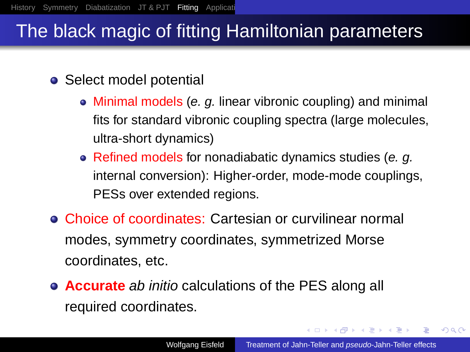## The black magic of fitting Hamiltonian parameters

## • Select model potential

- Minimal models (e. g. linear vibronic coupling) and minimal fits for standard vibronic coupling spectra (large molecules, ultra-short dynamics)
- Refined models for nonadiabatic dynamics studies (e. g. internal conversion): Higher-order, mode-mode couplings, PESs over extended regions.
- Choice of coordinates: Cartesian or curvilinear normal modes, symmetry coordinates, symmetrized Morse coordinates, etc.
- **Accurate** ab initio calculations of the PES along all required coordinates.

<span id="page-26-0"></span>K ロ ⊁ K 何 ≯ K ヨ ⊁ K ヨ ⊁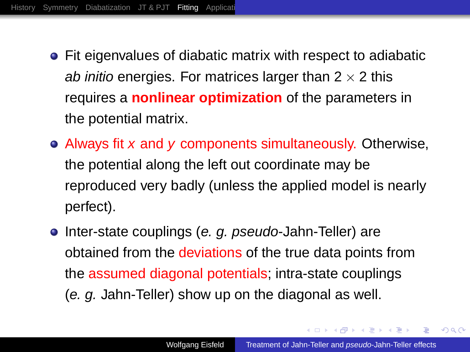- Fit eigenvalues of diabatic matrix with respect to adiabatic ab initio energies. For matrices larger than  $2 \times 2$  this requires a **nonlinear optimization** of the parameters in the potential matrix.
- Always fit x and y components simultaneously. Otherwise, the potential along the left out coordinate may be reproduced very badly (unless the applied model is nearly perfect).
- Inter-state couplings (*e. g. pseudo*-Jahn-Teller) are obtained from the deviations of the true data points from the assumed diagonal potentials; intra-state couplings (e. g. Jahn-Teller) show up on the diagonal as well.

K ロ ⊁ K 伊 ⊁ K ヨ ⊁ K ヨ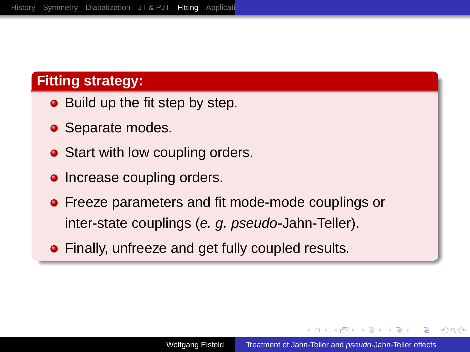## **Fitting strategy:**

- Build up the fit step by step.
- Separate modes.
- Start with low coupling orders.
- Increase coupling orders.
- **•** Freeze parameters and fit mode-mode couplings or inter-state couplings (e. g. pseudo-Jahn-Teller).
- **•** Finally, unfreeze and get fully coupled results.

4 ଲ ⊧ **ALCOHOL:**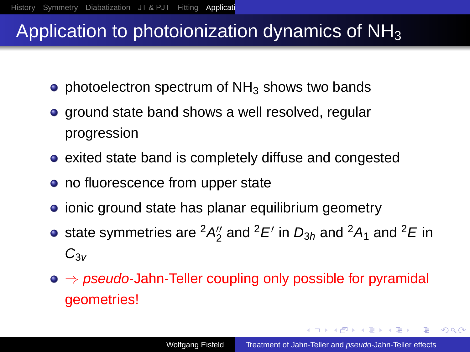## Application to photoionization dynamics of  $NH<sub>3</sub>$

- photoelectron spectrum of  $NH<sub>3</sub>$  shows two bands
- ground state band shows a well resolved, regular progression
- exited state band is completely diffuse and congested
- no fluorescence from upper state
- ionic ground state has planar equilibrium geometry
- state symmetries are  ${}^2A_2^{\prime\prime}$  and  ${}^2E^\prime$  in  $D_{3h}$  and  ${}^2A_1$  and  ${}^2E$  in  $C_{3v}$
- $\bullet \Rightarrow$  pseudo-Jahn-Teller coupling only possible for pyramidal geometries!

イロメ イ押 メイヨメ イヨメ

<span id="page-29-0"></span>÷.  $2Q$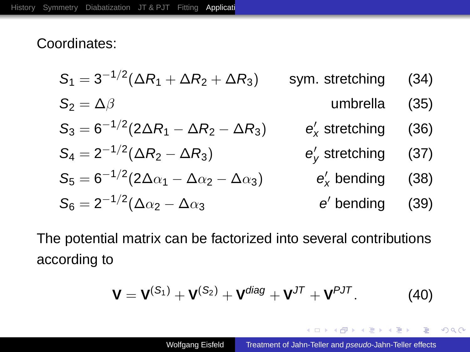### Coordinates:

$$
S_1 = 3^{-1/2}(\Delta R_1 + \Delta R_2 + \Delta R_3)
$$
sym. stretching (34)  
\n
$$
S_2 = \Delta \beta
$$
umbrella (35)  
\n
$$
S_3 = 6^{-1/2}(2\Delta R_1 - \Delta R_2 - \Delta R_3)
$$
  $e'_x$  stretching (36)  
\n
$$
S_4 = 2^{-1/2}(\Delta R_2 - \Delta R_3)
$$
  $e'_y$  stretching (37)  
\n
$$
S_5 = 6^{-1/2}(2\Delta \alpha_1 - \Delta \alpha_2 - \Delta \alpha_3)
$$
  $e'_x$  bending (38)  
\n
$$
S_6 = 2^{-1/2}(\Delta \alpha_2 - \Delta \alpha_3)
$$
  $e'_y$  bending (39)

The potential matrix can be factorized into several contributions according to

$$
\mathbf{V} = \mathbf{V}^{(S_1)} + \mathbf{V}^{(S_2)} + \mathbf{V}^{diag} + \mathbf{V}^{JT} + \mathbf{V}^{PJT}.
$$
 (40)

**≮ロト ⊀ 何 ト ⊀ ヨ ト ⊀ ヨ ト** 

 $299$ 

ă,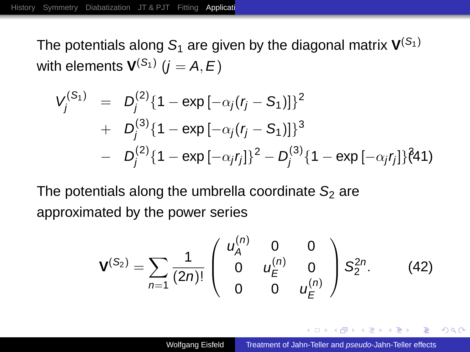The potentials along  $\mathcal{S}_1$  are given by the diagonal matrix  $\mathbf{V}^{(\mathcal{S}_1)}$ with elements  ${\mathbf V}^{({\mathcal S}_1)}$   $(j = {\mathcal A}, {\mathcal E})$ 

$$
V_j^{(S_1)} = D_j^{(2)} \{1 - \exp[-\alpha_j(r_j - S_1)]\}^2
$$
  
+ 
$$
D_j^{(3)} \{1 - \exp[-\alpha_j(r_j - S_1)]\}^3
$$
  
- 
$$
D_j^{(2)} \{1 - \exp[-\alpha_j r_j]\}^2 - D_j^{(3)} \{1 - \exp[-\alpha_j r_j]\}^2
$$

The potentials along the umbrella coordinate  $S_2$  are approximated by the power series

$$
\mathbf{V}^{(S_2)} = \sum_{n=1}^{\infty} \frac{1}{(2n)!} \begin{pmatrix} u_A^{(n)} & 0 & 0 \\ 0 & u_E^{(n)} & 0 \\ 0 & 0 & u_E^{(n)} \end{pmatrix} S_2^{2n}.
$$
 (42)

イロメ イ押 メイヨメ イヨメ

È.  $2Q$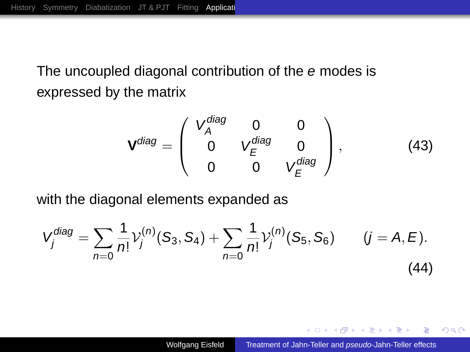## The uncoupled diagonal contribution of the e modes is expressed by the matrix

$$
\mathbf{V}^{diag} = \begin{pmatrix} V_A^{diag} & 0 & 0 \\ 0 & V_E^{diag} & 0 \\ 0 & 0 & V_E^{diag} \end{pmatrix},
$$
 (43)

with the diagonal elements expanded as

$$
V_j^{diag} = \sum_{n=0} \frac{1}{n!} \mathcal{V}_j^{(n)}(S_3, S_4) + \sum_{n=0} \frac{1}{n!} \mathcal{V}_j^{(n)}(S_5, S_6) \qquad (j = A, E).
$$
\n(44)

イロメ イ何 メイヨメ イヨメ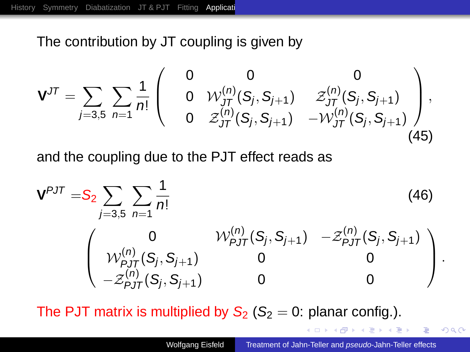The contribution by JT coupling is given by

$$
\mathbf{V}^{JT} = \sum_{j=3,5} \sum_{n=1} \frac{1}{n!} \begin{pmatrix} 0 & 0 & 0 \\ 0 & \mathcal{W}^{(n)}_{JT}(S_j, S_{j+1}) & \mathcal{Z}^{(n)}_{JT}(S_j, S_{j+1}) \\ 0 & \mathcal{Z}^{(n)}_{JT}(S_j, S_{j+1}) & -\mathcal{W}^{(n)}_{JT}(S_j, S_{j+1}) \end{pmatrix},
$$
\n(45)

and the coupling due to the PJT effect reads as

$$
\mathbf{V}^{PJT} = \mathbf{S}_2 \sum_{j=3,5} \sum_{n=1}^{\infty} \frac{1}{n!}
$$
(46)  

$$
\begin{pmatrix} 0 & \mathcal{W}_{PJT}^{(n)}(S_j, S_{j+1}) & -\mathcal{Z}_{PJT}^{(n)}(S_j, S_{j+1}) \\ \mathcal{W}_{PJT}^{(n)}(S_j, S_{j+1}) & 0 & 0 \\ -\mathcal{Z}_{PJT}^{(n)}(S_j, S_{j+1}) & 0 & 0 \end{pmatrix}.
$$

The PJT matrix is multiplied by  $S_2$  ( $S_2 = 0$ : planar config.).

 $\mathbf{y} \rightarrow \mathbf{z}$ 

<span id="page-33-0"></span> $2990$ 重。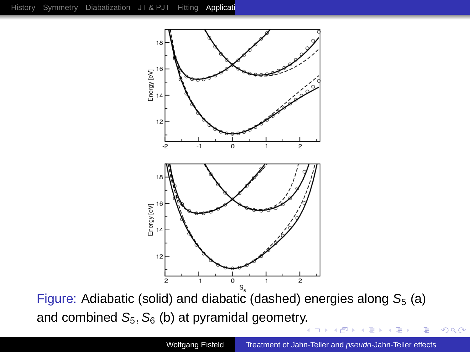

Figure: Adiabatic (solid) and diabatic (dashed) energies along  $S_5$  (a) and combined  $S_5$ ,  $S_6$  (b) at pyramidal geometr[y.](#page-33-0)

 $\Box$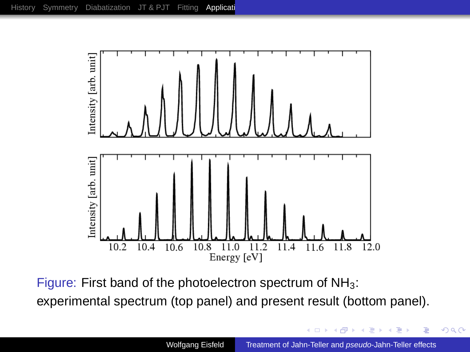

Figure: First band of the photoelectron spectrum of  $NH<sub>3</sub>$ : experimental spectrum (top panel) and present result (bottom panel).

4 0 8

一句 ×  $290$ 

ă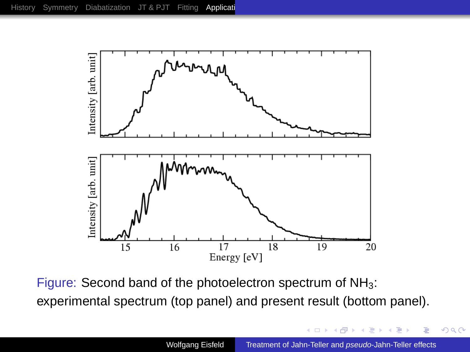

Figure: Second band of the photoelectron spectrum of NH<sub>3</sub>: experimental spectrum (top panel) and present result (bottom panel).

4 0 8  $\leftarrow$ ×  $2Q$ 

ă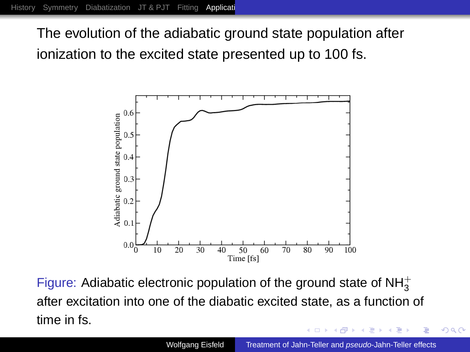The evolution of the adiabatic ground state population after ionization to the excited state presented up to 100 fs.



Figure: Adiabatic electronic population of the ground state of  $NH_3^+$ after excitation into one of the diabatic excited state, as a function of time in fs.